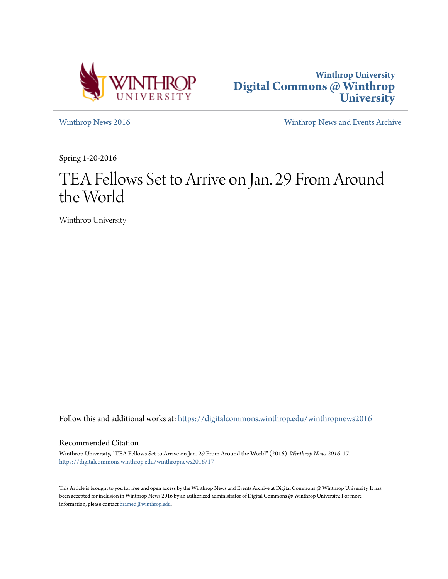



[Winthrop News 2016](https://digitalcommons.winthrop.edu/winthropnews2016?utm_source=digitalcommons.winthrop.edu%2Fwinthropnews2016%2F17&utm_medium=PDF&utm_campaign=PDFCoverPages) [Winthrop News and Events Archive](https://digitalcommons.winthrop.edu/winthropnewsarchives?utm_source=digitalcommons.winthrop.edu%2Fwinthropnews2016%2F17&utm_medium=PDF&utm_campaign=PDFCoverPages)

Spring 1-20-2016

# TEA Fellows Set to Arrive on Jan. 29 From Around the World

Winthrop University

Follow this and additional works at: [https://digitalcommons.winthrop.edu/winthropnews2016](https://digitalcommons.winthrop.edu/winthropnews2016?utm_source=digitalcommons.winthrop.edu%2Fwinthropnews2016%2F17&utm_medium=PDF&utm_campaign=PDFCoverPages)

### Recommended Citation

Winthrop University, "TEA Fellows Set to Arrive on Jan. 29 From Around the World" (2016). *Winthrop News 2016*. 17. [https://digitalcommons.winthrop.edu/winthropnews2016/17](https://digitalcommons.winthrop.edu/winthropnews2016/17?utm_source=digitalcommons.winthrop.edu%2Fwinthropnews2016%2F17&utm_medium=PDF&utm_campaign=PDFCoverPages)

This Article is brought to you for free and open access by the Winthrop News and Events Archive at Digital Commons @ Winthrop University. It has been accepted for inclusion in Winthrop News 2016 by an authorized administrator of Digital Commons @ Winthrop University. For more information, please contact [bramed@winthrop.edu](mailto:bramed@winthrop.edu).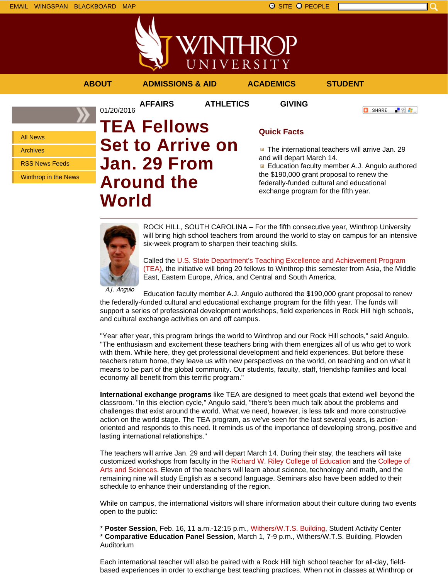



**AFFAIRS ATHLETICS GIVING**

**ABOUT ADMISSIONS & AID ACADEMICS STUDENT**

**C** SHARE

「验費」

All News

Archives

RSS News Feeds

Winthrop in the News

## 01/20/2016 **TEA Fellows Set to Arrive on Jan. 29 From Around the World**

## **Quick Facts**

The international teachers will arrive Jan. 29 and will depart March 14.

**Education faculty member A.J. Angulo authored** the \$190,000 grant proposal to renew the federally-funded cultural and educational exchange program for the fifth year.



ROCK HILL, SOUTH CAROLINA – For the fifth consecutive year, Winthrop University will bring high school teachers from around the world to stay on campus for an intensive six-week program to sharpen their teaching skills.

Called the U.S. State Department's Teaching Excellence and Achievement Program (TEA), the initiative will bring 20 fellows to Winthrop this semester from Asia, the Middle East, Eastern Europe, Africa, and Central and South America.

A.J. Angulo

Education faculty member A.J. Angulo authored the \$190,000 grant proposal to renew the federally-funded cultural and educational exchange program for the fifth year. The funds will support a series of professional development workshops, field experiences in Rock Hill high schools, and cultural exchange activities on and off campus.

"Year after year, this program brings the world to Winthrop and our Rock Hill schools," said Angulo. "The enthusiasm and excitement these teachers bring with them energizes all of us who get to work with them. While here, they get professional development and field experiences. But before these teachers return home, they leave us with new perspectives on the world, on teaching and on what it means to be part of the global community. Our students, faculty, staff, friendship families and local economy all benefit from this terrific program."

**International exchange programs** like TEA are designed to meet goals that extend well beyond the classroom. "In this election cycle," Angulo said, "there's been much talk about the problems and challenges that exist around the world. What we need, however, is less talk and more constructive action on the world stage. The TEA program, as we've seen for the last several years, is actionoriented and responds to this need. It reminds us of the importance of developing strong, positive and lasting international relationships."

The teachers will arrive Jan. 29 and will depart March 14. During their stay, the teachers will take customized workshops from faculty in the Richard W. Riley College of Education and the College of Arts and Sciences. Eleven of the teachers will learn about science, technology and math, and the remaining nine will study English as a second language. Seminars also have been added to their schedule to enhance their understanding of the region.

While on campus, the international visitors will share information about their culture during two events open to the public:

\* **Poster Session**, Feb. 16, 11 a.m.-12:15 p.m., Withers/W.T.S. Building, Student Activity Center \* **Comparative Education Panel Session**, March 1, 7-9 p.m., Withers/W.T.S. Building, Plowden Auditorium

Each international teacher will also be paired with a Rock Hill high school teacher for all-day, fieldbased experiences in order to exchange best teaching practices. When not in classes at Winthrop or